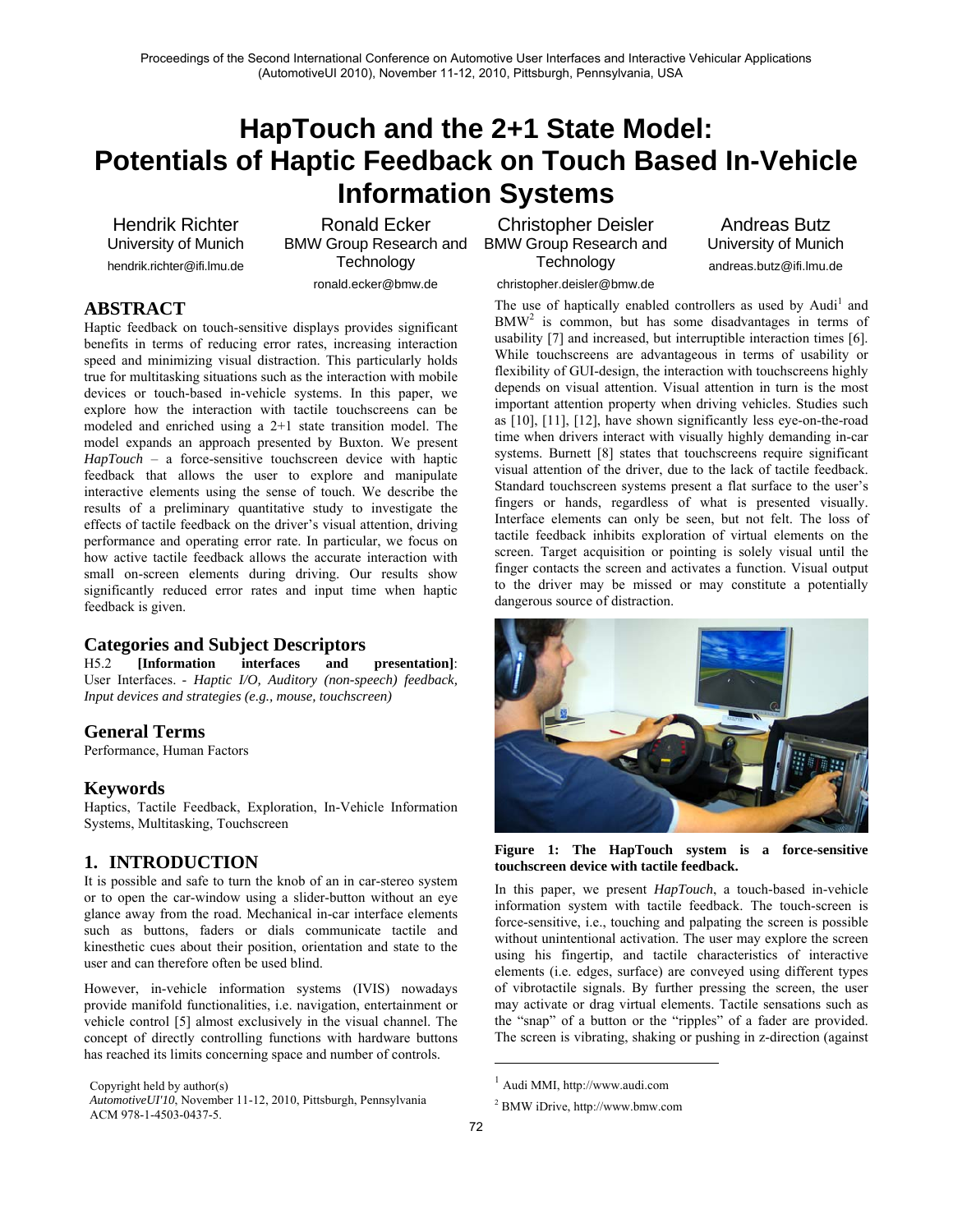# **HapTouch and the 2+1 State Model: Potentials of Haptic Feedback on Touch Based In-Vehicle Information Systems**

Hendrik Richter University of Munich hendrik.richter@ifi.lmu.de

Ronald Ecker BMW Group Research and **Technology** ronald.ecker@bmw.de

Christopher Deisler BMW Group Research and **Technology** 

Andreas Butz University of Munich andreas.butz@ifi.lmu.de

**ABSTRACT**

Haptic feedback on touch-sensitive displays provides significant benefits in terms of reducing error rates, increasing interaction speed and minimizing visual distraction. This particularly holds true for multitasking situations such as the interaction with mobile devices or touch-based in-vehicle systems. In this paper, we explore how the interaction with tactile touchscreens can be modeled and enriched using a 2+1 state transition model. The model expands an approach presented by Buxton. We present *HapTouch* – a force-sensitive touchscreen device with haptic feedback that allows the user to explore and manipulate interactive elements using the sense of touch. We describe the results of a preliminary quantitative study to investigate the effects of tactile feedback on the driver's visual attention, driving performance and operating error rate. In particular, we focus on how active tactile feedback allows the accurate interaction with small on-screen elements during driving. Our results show significantly reduced error rates and input time when haptic feedback is given.

## **Categories and Subject Descriptors**

H5.2 **[Information interfaces and presentation]**: User Interfaces. - *Haptic I/O, Auditory (non-speech) feedback, Input devices and strategies (e.g., mouse, touchscreen)* 

## **General Terms**

Performance, Human Factors

## **Keywords**

Haptics, Tactile Feedback, Exploration, In-Vehicle Information Systems, Multitasking, Touchscreen

## **1. INTRODUCTION**

It is possible and safe to turn the knob of an in car-stereo system or to open the car-window using a slider-button without an eye glance away from the road. Mechanical in-car interface elements such as buttons, faders or dials communicate tactile and kinesthetic cues about their position, orientation and state to the user and can therefore often be used blind.

However, in-vehicle information systems (IVIS) nowadays provide manifold functionalities, i.e. navigation, entertainment or vehicle control [5] almost exclusively in the visual channel. The concept of directly controlling functions with hardware buttons has reached its limits concerning space and number of controls.

Copyright held by author(s)

christopher.deisler@bmw.de

The use of haptically enabled controllers as used by Audi<sup>1</sup> and BMW<sup>2</sup> is common, but has some disadvantages in terms of usability [7] and increased, but interruptible interaction times [6]. While touchscreens are advantageous in terms of usability or flexibility of GUI-design, the interaction with touchscreens highly depends on visual attention. Visual attention in turn is the most important attention property when driving vehicles. Studies such as [10], [11], [12], have shown significantly less eye-on-the-road time when drivers interact with visually highly demanding in-car systems. Burnett [8] states that touchscreens require significant visual attention of the driver, due to the lack of tactile feedback. Standard touchscreen systems present a flat surface to the user's fingers or hands, regardless of what is presented visually. Interface elements can only be seen, but not felt. The loss of tactile feedback inhibits exploration of virtual elements on the screen. Target acquisition or pointing is solely visual until the finger contacts the screen and activates a function. Visual output to the driver may be missed or may constitute a potentially dangerous source of distraction.



**Figure 1: The HapTouch system is a force-sensitive touchscreen device with tactile feedback.** 

In this paper, we present *HapTouch*, a touch-based in-vehicle information system with tactile feedback. The touch-screen is force-sensitive, i.e., touching and palpating the screen is possible without unintentional activation. The user may explore the screen using his fingertip, and tactile characteristics of interactive elements (i.e. edges, surface) are conveyed using different types of vibrotactile signals. By further pressing the screen, the user may activate or drag virtual elements. Tactile sensations such as the "snap" of a button or the "ripples" of a fader are provided. The screen is vibrating, shaking or pushing in z-direction (against

1

*AutomotiveUI'10*, November 11-12, 2010, Pittsburgh, Pennsylvania ACM 978-1-4503-0437-5.

<sup>1</sup> Audi MMI, http://www.audi.com

<sup>2</sup> BMW iDrive, http://www.bmw.com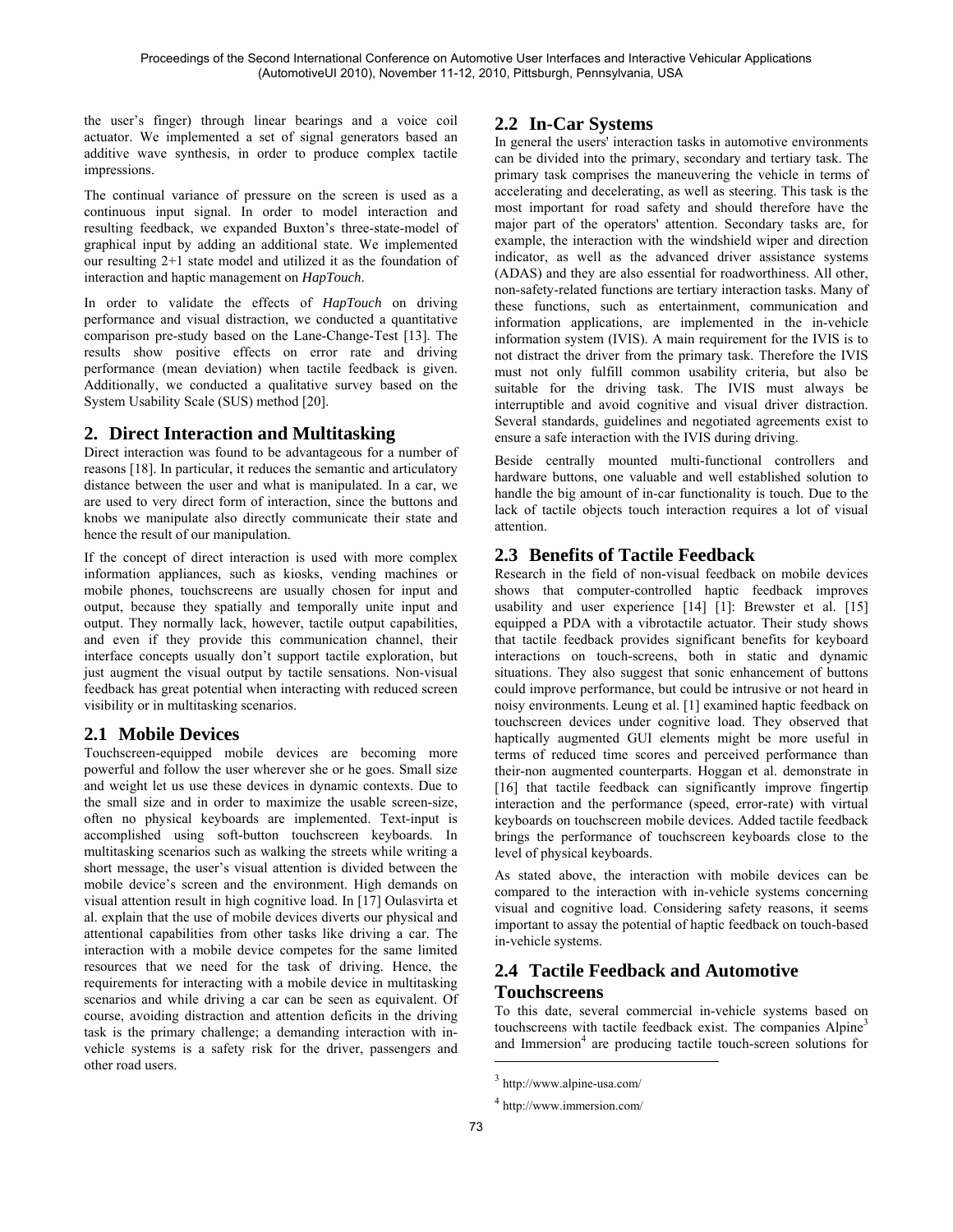the user's finger) through linear bearings and a voice coil actuator. We implemented a set of signal generators based an additive wave synthesis, in order to produce complex tactile impressions.

The continual variance of pressure on the screen is used as a continuous input signal. In order to model interaction and resulting feedback, we expanded Buxton's three-state-model of graphical input by adding an additional state. We implemented our resulting 2+1 state model and utilized it as the foundation of interaction and haptic management on *HapTouch*.

In order to validate the effects of *HapTouch* on driving performance and visual distraction, we conducted a quantitative comparison pre-study based on the Lane-Change-Test [13]. The results show positive effects on error rate and driving performance (mean deviation) when tactile feedback is given. Additionally, we conducted a qualitative survey based on the System Usability Scale (SUS) method [20].

## **2. Direct Interaction and Multitasking**

Direct interaction was found to be advantageous for a number of reasons [18]. In particular, it reduces the semantic and articulatory distance between the user and what is manipulated. In a car, we are used to very direct form of interaction, since the buttons and knobs we manipulate also directly communicate their state and hence the result of our manipulation.

If the concept of direct interaction is used with more complex information appliances, such as kiosks, vending machines or mobile phones, touchscreens are usually chosen for input and output, because they spatially and temporally unite input and output. They normally lack, however, tactile output capabilities, and even if they provide this communication channel, their interface concepts usually don't support tactile exploration, but just augment the visual output by tactile sensations. Non-visual feedback has great potential when interacting with reduced screen visibility or in multitasking scenarios.

# **2.1 Mobile Devices**

Touchscreen-equipped mobile devices are becoming more powerful and follow the user wherever she or he goes. Small size and weight let us use these devices in dynamic contexts. Due to the small size and in order to maximize the usable screen-size, often no physical keyboards are implemented. Text-input is accomplished using soft-button touchscreen keyboards. In multitasking scenarios such as walking the streets while writing a short message, the user's visual attention is divided between the mobile device's screen and the environment. High demands on visual attention result in high cognitive load. In [17] Oulasvirta et al. explain that the use of mobile devices diverts our physical and attentional capabilities from other tasks like driving a car. The interaction with a mobile device competes for the same limited resources that we need for the task of driving. Hence, the requirements for interacting with a mobile device in multitasking scenarios and while driving a car can be seen as equivalent. Of course, avoiding distraction and attention deficits in the driving task is the primary challenge; a demanding interaction with invehicle systems is a safety risk for the driver, passengers and other road users.

## **2.2 In-Car Systems**

In general the users' interaction tasks in automotive environments can be divided into the primary, secondary and tertiary task. The primary task comprises the maneuvering the vehicle in terms of accelerating and decelerating, as well as steering. This task is the most important for road safety and should therefore have the major part of the operators' attention. Secondary tasks are, for example, the interaction with the windshield wiper and direction indicator, as well as the advanced driver assistance systems (ADAS) and they are also essential for roadworthiness. All other, non-safety-related functions are tertiary interaction tasks. Many of these functions, such as entertainment, communication and information applications, are implemented in the in-vehicle information system (IVIS). A main requirement for the IVIS is to not distract the driver from the primary task. Therefore the IVIS must not only fulfill common usability criteria, but also be suitable for the driving task. The IVIS must always be interruptible and avoid cognitive and visual driver distraction. Several standards, guidelines and negotiated agreements exist to ensure a safe interaction with the IVIS during driving.

Beside centrally mounted multi-functional controllers and hardware buttons, one valuable and well established solution to handle the big amount of in-car functionality is touch. Due to the lack of tactile objects touch interaction requires a lot of visual attention.

# **2.3 Benefits of Tactile Feedback**

Research in the field of non-visual feedback on mobile devices shows that computer-controlled haptic feedback improves usability and user experience [14] [1]: Brewster et al. [15] equipped a PDA with a vibrotactile actuator. Their study shows that tactile feedback provides significant benefits for keyboard interactions on touch-screens, both in static and dynamic situations. They also suggest that sonic enhancement of buttons could improve performance, but could be intrusive or not heard in noisy environments. Leung et al. [1] examined haptic feedback on touchscreen devices under cognitive load. They observed that haptically augmented GUI elements might be more useful in terms of reduced time scores and perceived performance than their-non augmented counterparts. Hoggan et al. demonstrate in [16] that tactile feedback can significantly improve fingertip interaction and the performance (speed, error-rate) with virtual keyboards on touchscreen mobile devices. Added tactile feedback brings the performance of touchscreen keyboards close to the level of physical keyboards.

As stated above, the interaction with mobile devices can be compared to the interaction with in-vehicle systems concerning visual and cognitive load. Considering safety reasons, it seems important to assay the potential of haptic feedback on touch-based in-vehicle systems.

# **2.4 Tactile Feedback and Automotive Touchscreens**

To this date, several commercial in-vehicle systems based on touchscreens with tactile feedback exist. The companies Alpine<sup>3</sup> and Immersion<sup>4</sup> are producing tactile touch-screen solutions for

1

<sup>3</sup> http://www.alpine-usa.com/

<sup>4</sup> http://www.immersion.com/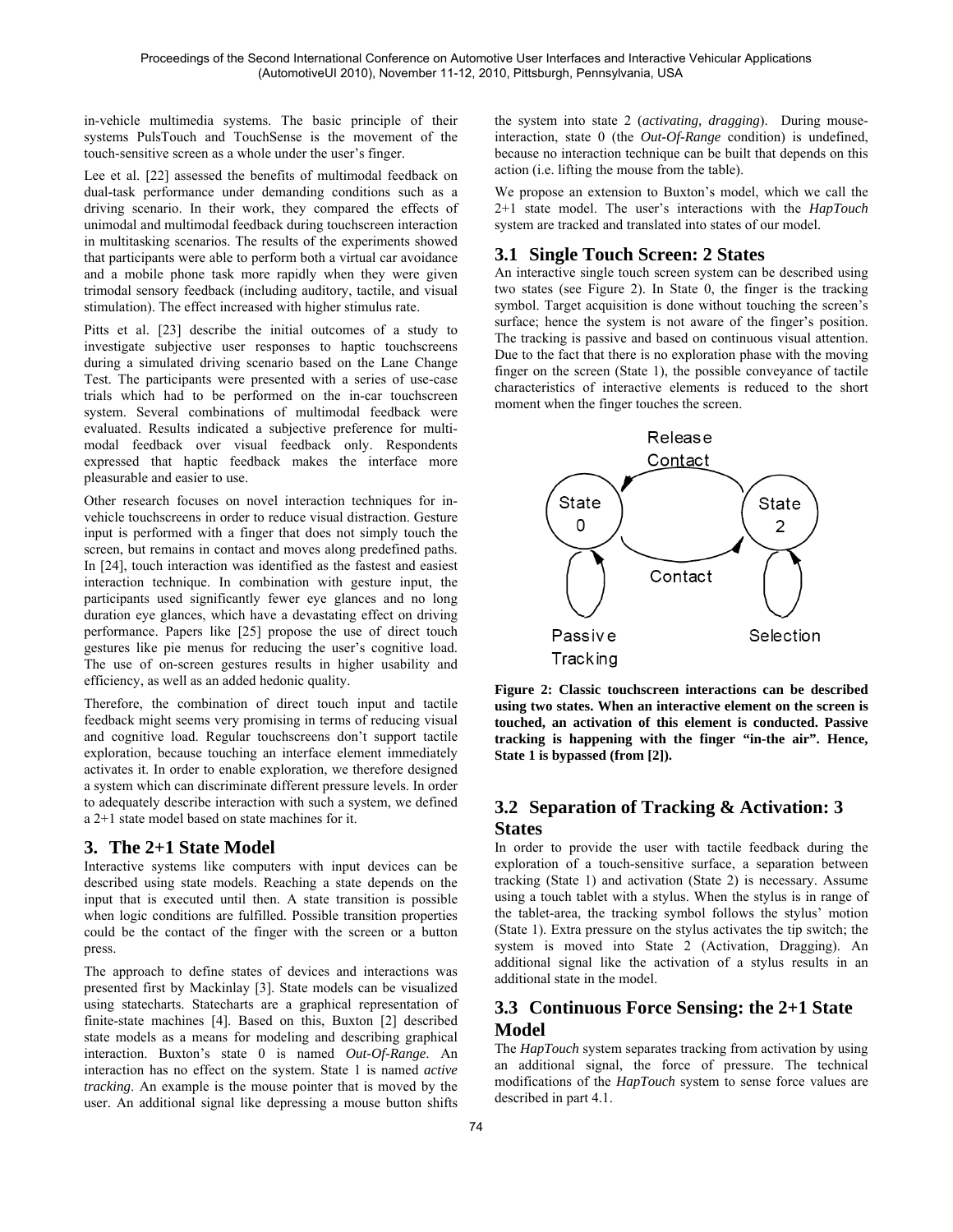in-vehicle multimedia systems. The basic principle of their systems PulsTouch and TouchSense is the movement of the touch-sensitive screen as a whole under the user's finger.

Lee et al. [22] assessed the benefits of multimodal feedback on dual-task performance under demanding conditions such as a driving scenario. In their work, they compared the effects of unimodal and multimodal feedback during touchscreen interaction in multitasking scenarios. The results of the experiments showed that participants were able to perform both a virtual car avoidance and a mobile phone task more rapidly when they were given trimodal sensory feedback (including auditory, tactile, and visual stimulation). The effect increased with higher stimulus rate.

Pitts et al. [23] describe the initial outcomes of a study to investigate subjective user responses to haptic touchscreens during a simulated driving scenario based on the Lane Change Test. The participants were presented with a series of use-case trials which had to be performed on the in-car touchscreen system. Several combinations of multimodal feedback were evaluated. Results indicated a subjective preference for multimodal feedback over visual feedback only. Respondents expressed that haptic feedback makes the interface more pleasurable and easier to use.

Other research focuses on novel interaction techniques for invehicle touchscreens in order to reduce visual distraction. Gesture input is performed with a finger that does not simply touch the screen, but remains in contact and moves along predefined paths. In [24], touch interaction was identified as the fastest and easiest interaction technique. In combination with gesture input, the participants used significantly fewer eye glances and no long duration eye glances, which have a devastating effect on driving performance. Papers like [25] propose the use of direct touch gestures like pie menus for reducing the user's cognitive load. The use of on-screen gestures results in higher usability and efficiency, as well as an added hedonic quality.

Therefore, the combination of direct touch input and tactile feedback might seems very promising in terms of reducing visual and cognitive load. Regular touchscreens don't support tactile exploration, because touching an interface element immediately activates it. In order to enable exploration, we therefore designed a system which can discriminate different pressure levels. In order to adequately describe interaction with such a system, we defined a 2+1 state model based on state machines for it.

## **3. The 2+1 State Model**

Interactive systems like computers with input devices can be described using state models. Reaching a state depends on the input that is executed until then. A state transition is possible when logic conditions are fulfilled. Possible transition properties could be the contact of the finger with the screen or a button press.

The approach to define states of devices and interactions was presented first by Mackinlay [3]. State models can be visualized using statecharts. Statecharts are a graphical representation of finite-state machines [4]. Based on this, Buxton [2] described state models as a means for modeling and describing graphical interaction. Buxton's state 0 is named *Out-Of-Range*. An interaction has no effect on the system. State 1 is named *active tracking*. An example is the mouse pointer that is moved by the user. An additional signal like depressing a mouse button shifts

the system into state 2 (*activating, dragging*). During mouseinteraction, state 0 (the *Out-Of-Range* condition) is undefined, because no interaction technique can be built that depends on this action (i.e. lifting the mouse from the table).

We propose an extension to Buxton's model, which we call the 2+1 state model. The user's interactions with the *HapTouch*  system are tracked and translated into states of our model.

## **3.1 Single Touch Screen: 2 States**

An interactive single touch screen system can be described using two states (see Figure 2). In State 0, the finger is the tracking symbol. Target acquisition is done without touching the screen's surface; hence the system is not aware of the finger's position. The tracking is passive and based on continuous visual attention. Due to the fact that there is no exploration phase with the moving finger on the screen (State 1), the possible conveyance of tactile characteristics of interactive elements is reduced to the short moment when the finger touches the screen.



**Figure 2: Classic touchscreen interactions can be described using two states. When an interactive element on the screen is touched, an activation of this element is conducted. Passive tracking is happening with the finger "in-the air". Hence, State 1 is bypassed (from [2]).** 

# **3.2 Separation of Tracking & Activation: 3 States**

In order to provide the user with tactile feedback during the exploration of a touch-sensitive surface, a separation between tracking (State 1) and activation (State 2) is necessary. Assume using a touch tablet with a stylus. When the stylus is in range of the tablet-area, the tracking symbol follows the stylus' motion (State 1). Extra pressure on the stylus activates the tip switch; the system is moved into State 2 (Activation, Dragging). An additional signal like the activation of a stylus results in an additional state in the model.

# **3.3 Continuous Force Sensing: the 2+1 State Model**

The *HapTouch* system separates tracking from activation by using an additional signal, the force of pressure. The technical modifications of the *HapTouch* system to sense force values are described in part 4.1.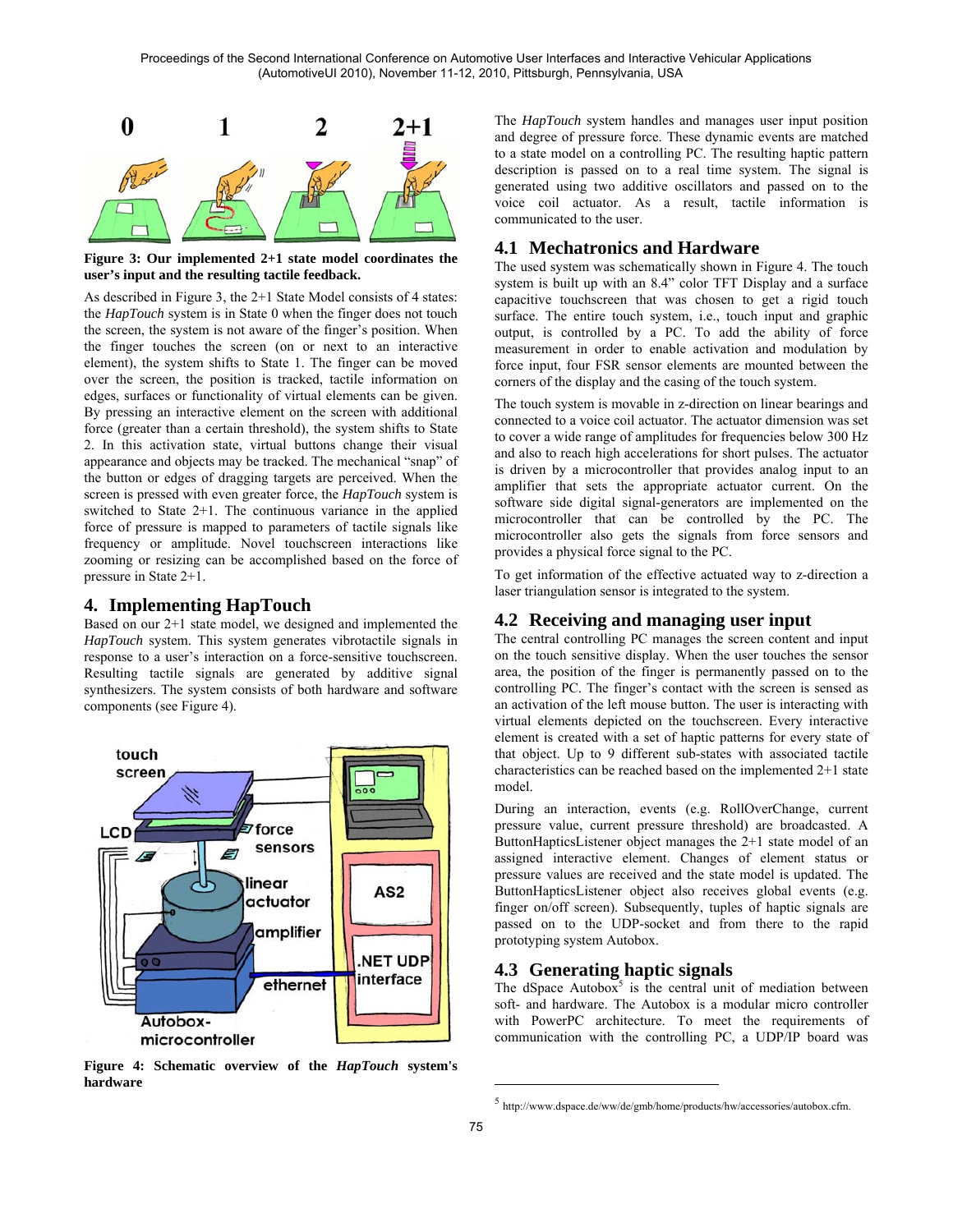

**Figure 3: Our implemented 2+1 state model coordinates the user's input and the resulting tactile feedback.** 

As described in Figure 3, the 2+1 State Model consists of 4 states: the *HapTouch* system is in State 0 when the finger does not touch the screen, the system is not aware of the finger's position. When the finger touches the screen (on or next to an interactive element), the system shifts to State 1. The finger can be moved over the screen, the position is tracked, tactile information on edges, surfaces or functionality of virtual elements can be given. By pressing an interactive element on the screen with additional force (greater than a certain threshold), the system shifts to State 2. In this activation state, virtual buttons change their visual appearance and objects may be tracked. The mechanical "snap" of the button or edges of dragging targets are perceived. When the screen is pressed with even greater force, the *HapTouch* system is switched to State 2+1. The continuous variance in the applied force of pressure is mapped to parameters of tactile signals like frequency or amplitude. Novel touchscreen interactions like zooming or resizing can be accomplished based on the force of pressure in State 2+1.

### **4. Implementing HapTouch**

Based on our 2+1 state model, we designed and implemented the *HapTouch* system. This system generates vibrotactile signals in response to a user's interaction on a force-sensitive touchscreen. Resulting tactile signals are generated by additive signal synthesizers. The system consists of both hardware and software components (see Figure 4).



**Figure 4: Schematic overview of the** *HapTouch* **system's hardware** 

The *HapTouch* system handles and manages user input position and degree of pressure force. These dynamic events are matched to a state model on a controlling PC. The resulting haptic pattern description is passed on to a real time system. The signal is generated using two additive oscillators and passed on to the voice coil actuator. As a result, tactile information is communicated to the user.

## **4.1 Mechatronics and Hardware**

The used system was schematically shown in Figure 4. The touch system is built up with an 8.4" color TFT Display and a surface capacitive touchscreen that was chosen to get a rigid touch surface. The entire touch system, i.e., touch input and graphic output, is controlled by a PC. To add the ability of force measurement in order to enable activation and modulation by force input, four FSR sensor elements are mounted between the corners of the display and the casing of the touch system.

The touch system is movable in z-direction on linear bearings and connected to a voice coil actuator. The actuator dimension was set to cover a wide range of amplitudes for frequencies below 300 Hz and also to reach high accelerations for short pulses. The actuator is driven by a microcontroller that provides analog input to an amplifier that sets the appropriate actuator current. On the software side digital signal-generators are implemented on the microcontroller that can be controlled by the PC. The microcontroller also gets the signals from force sensors and provides a physical force signal to the PC.

To get information of the effective actuated way to z-direction a laser triangulation sensor is integrated to the system.

#### **4.2 Receiving and managing user input**

The central controlling PC manages the screen content and input on the touch sensitive display. When the user touches the sensor area, the position of the finger is permanently passed on to the controlling PC. The finger's contact with the screen is sensed as an activation of the left mouse button. The user is interacting with virtual elements depicted on the touchscreen. Every interactive element is created with a set of haptic patterns for every state of that object. Up to 9 different sub-states with associated tactile characteristics can be reached based on the implemented 2+1 state model.

During an interaction, events (e.g. RollOverChange, current pressure value, current pressure threshold) are broadcasted. A ButtonHapticsListener object manages the 2+1 state model of an assigned interactive element. Changes of element status or pressure values are received and the state model is updated. The ButtonHapticsListener object also receives global events (e.g. finger on/off screen). Subsequently, tuples of haptic signals are passed on to the UDP-socket and from there to the rapid prototyping system Autobox.

## **4.3 Generating haptic signals**

The dSpace Autobox<sup>5</sup> is the central unit of mediation between soft- and hardware. The Autobox is a modular micro controller with PowerPC architecture. To meet the requirements of communication with the controlling PC, a UDP/IP board was

1

<sup>5</sup> http://www.dspace.de/ww/de/gmb/home/products/hw/accessories/autobox.cfm.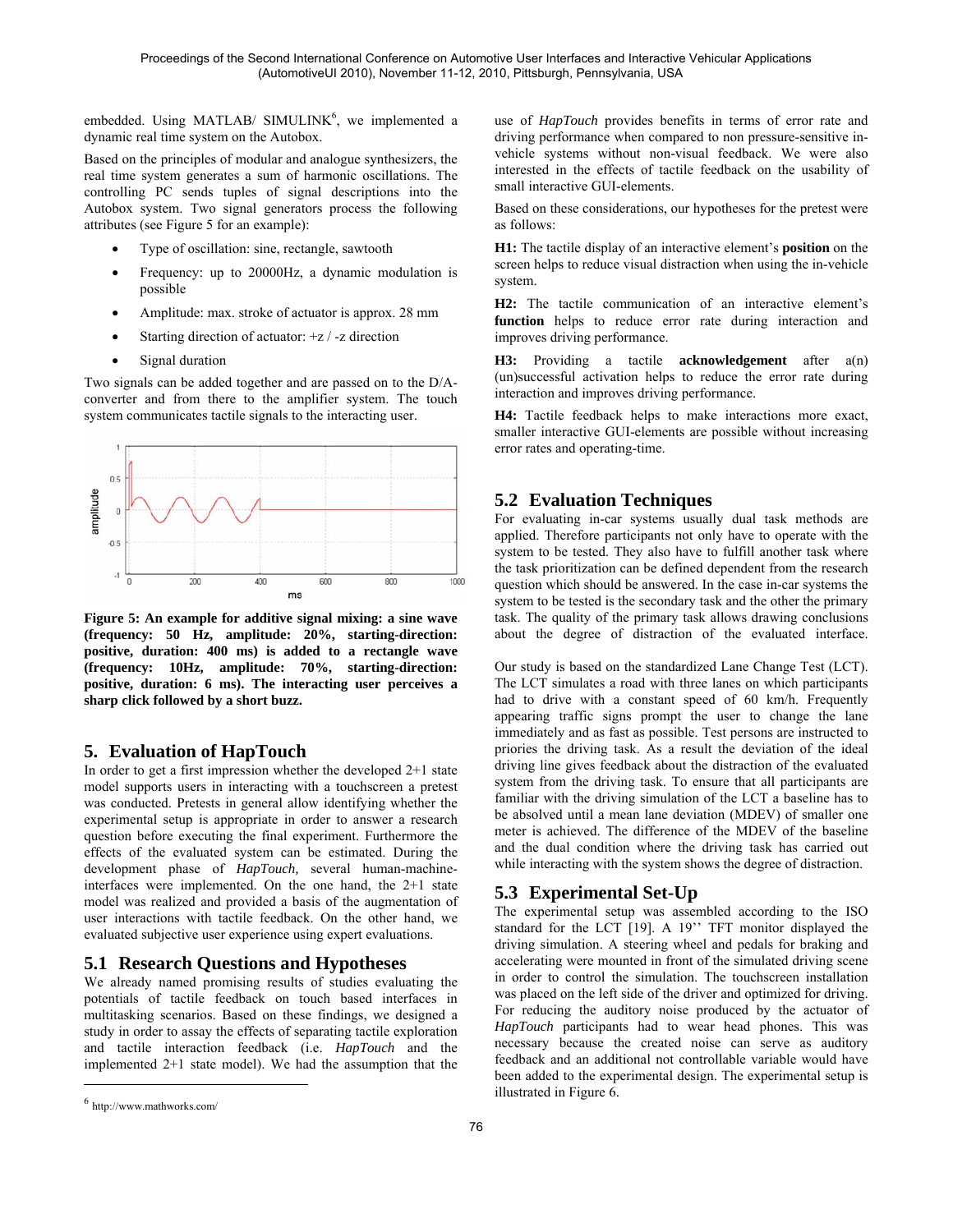embedded. Using MATLAB/ SIMULINK<sup>6</sup>, we implemented a dynamic real time system on the Autobox.

Based on the principles of modular and analogue synthesizers, the real time system generates a sum of harmonic oscillations. The controlling PC sends tuples of signal descriptions into the Autobox system. Two signal generators process the following attributes (see Figure 5 for an example):

- Type of oscillation: sine, rectangle, sawtooth
- Frequency: up to 20000Hz, a dynamic modulation is possible
- Amplitude: max. stroke of actuator is approx. 28 mm
- Starting direction of actuator:  $+z/$  -z direction
- Signal duration

Two signals can be added together and are passed on to the D/Aconverter and from there to the amplifier system. The touch system communicates tactile signals to the interacting user.



**Figure 5: An example for additive signal mixing: a sine wave (frequency: 50 Hz, amplitude: 20%, starting-direction: positive, duration: 400 ms) is added to a rectangle wave (frequency: 10Hz, amplitude: 70%, starting-direction: positive, duration: 6 ms). The interacting user perceives a sharp click followed by a short buzz.** 

#### **5. Evaluation of HapTouch**

In order to get a first impression whether the developed 2+1 state model supports users in interacting with a touchscreen a pretest was conducted. Pretests in general allow identifying whether the experimental setup is appropriate in order to answer a research question before executing the final experiment. Furthermore the effects of the evaluated system can be estimated. During the development phase of *HapTouch,* several human-machineinterfaces were implemented. On the one hand, the 2+1 state model was realized and provided a basis of the augmentation of user interactions with tactile feedback. On the other hand, we evaluated subjective user experience using expert evaluations.

#### **5.1 Research Questions and Hypotheses**

We already named promising results of studies evaluating the potentials of tactile feedback on touch based interfaces in multitasking scenarios. Based on these findings, we designed a study in order to assay the effects of separating tactile exploration and tactile interaction feedback (i.e. *HapTouch* and the implemented 2+1 state model). We had the assumption that the

 $\overline{a}$ 

use of *HapTouch* provides benefits in terms of error rate and driving performance when compared to non pressure-sensitive invehicle systems without non-visual feedback. We were also interested in the effects of tactile feedback on the usability of small interactive GUI-elements.

Based on these considerations, our hypotheses for the pretest were as follows:

**H1:** The tactile display of an interactive element's **position** on the screen helps to reduce visual distraction when using the in-vehicle system.

**H2:** The tactile communication of an interactive element's **function** helps to reduce error rate during interaction and improves driving performance.

**H3:** Providing a tactile **acknowledgement** after a(n) (un)successful activation helps to reduce the error rate during interaction and improves driving performance.

**H4:** Tactile feedback helps to make interactions more exact, smaller interactive GUI-elements are possible without increasing error rates and operating-time.

## **5.2 Evaluation Techniques**

For evaluating in-car systems usually dual task methods are applied. Therefore participants not only have to operate with the system to be tested. They also have to fulfill another task where the task prioritization can be defined dependent from the research question which should be answered. In the case in-car systems the system to be tested is the secondary task and the other the primary task. The quality of the primary task allows drawing conclusions about the degree of distraction of the evaluated interface.

Our study is based on the standardized Lane Change Test (LCT). The LCT simulates a road with three lanes on which participants had to drive with a constant speed of 60 km/h. Frequently appearing traffic signs prompt the user to change the lane immediately and as fast as possible. Test persons are instructed to priories the driving task. As a result the deviation of the ideal driving line gives feedback about the distraction of the evaluated system from the driving task. To ensure that all participants are familiar with the driving simulation of the LCT a baseline has to be absolved until a mean lane deviation (MDEV) of smaller one meter is achieved. The difference of the MDEV of the baseline and the dual condition where the driving task has carried out while interacting with the system shows the degree of distraction.

## **5.3 Experimental Set-Up**

The experimental setup was assembled according to the ISO standard for the LCT [19]. A 19" TFT monitor displayed the driving simulation. A steering wheel and pedals for braking and accelerating were mounted in front of the simulated driving scene in order to control the simulation. The touchscreen installation was placed on the left side of the driver and optimized for driving. For reducing the auditory noise produced by the actuator of *HapTouch* participants had to wear head phones. This was necessary because the created noise can serve as auditory feedback and an additional not controllable variable would have been added to the experimental design. The experimental setup is illustrated in Figure 6.

 $6$  http://www.mathworks.com/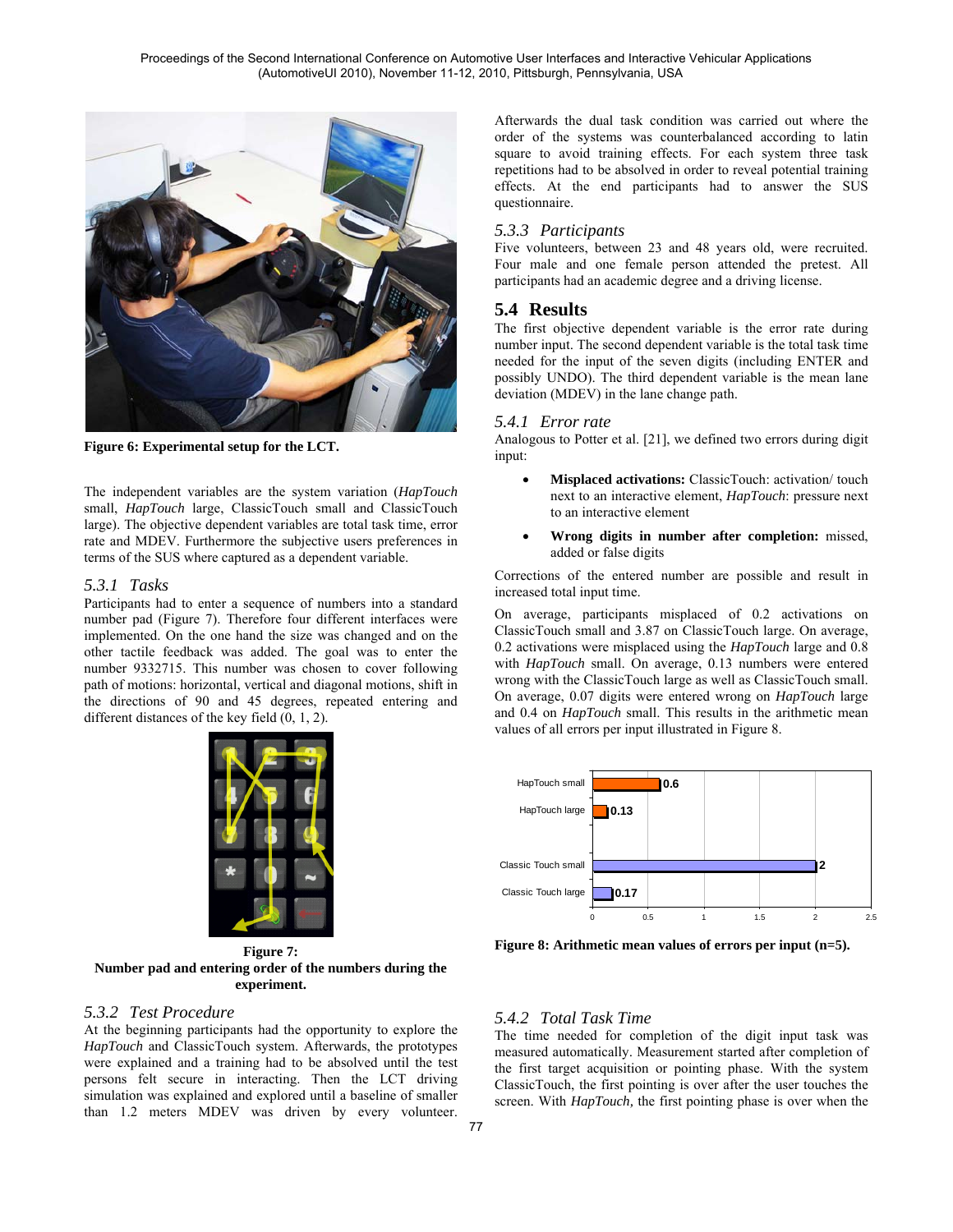

**Figure 6: Experimental setup for the LCT.** 

The independent variables are the system variation (*HapTouch* small, *HapTouch* large, ClassicTouch small and ClassicTouch large). The objective dependent variables are total task time, error rate and MDEV. Furthermore the subjective users preferences in terms of the SUS where captured as a dependent variable.

#### *5.3.1 Tasks*

Participants had to enter a sequence of numbers into a standard number pad (Figure 7). Therefore four different interfaces were implemented. On the one hand the size was changed and on the other tactile feedback was added. The goal was to enter the number 9332715. This number was chosen to cover following path of motions: horizontal, vertical and diagonal motions, shift in the directions of 90 and 45 degrees, repeated entering and different distances of the key field (0, 1, 2).



**Figure 7: Number pad and entering order of the numbers during the experiment.** 

#### *5.3.2 Test Procedure*

At the beginning participants had the opportunity to explore the *HapTouch* and ClassicTouch system. Afterwards, the prototypes were explained and a training had to be absolved until the test persons felt secure in interacting. Then the LCT driving simulation was explained and explored until a baseline of smaller than 1.2 meters MDEV was driven by every volunteer.

Afterwards the dual task condition was carried out where the order of the systems was counterbalanced according to latin square to avoid training effects. For each system three task repetitions had to be absolved in order to reveal potential training effects. At the end participants had to answer the SUS questionnaire.

#### *5.3.3 Participants*

Five volunteers, between 23 and 48 years old, were recruited. Four male and one female person attended the pretest. All participants had an academic degree and a driving license.

#### **5.4 Results**

The first objective dependent variable is the error rate during number input. The second dependent variable is the total task time needed for the input of the seven digits (including ENTER and possibly UNDO). The third dependent variable is the mean lane deviation (MDEV) in the lane change path.

#### *5.4.1 Error rate*

Analogous to Potter et al. [21], we defined two errors during digit input:

- **Misplaced activations:** ClassicTouch: activation/ touch next to an interactive element, *HapTouch*: pressure next to an interactive element
- **Wrong digits in number after completion:** missed, added or false digits

Corrections of the entered number are possible and result in increased total input time.

On average, participants misplaced of 0.2 activations on ClassicTouch small and 3.87 on ClassicTouch large. On average, 0.2 activations were misplaced using the *HapTouch* large and 0.8 with *HapTouch* small. On average, 0.13 numbers were entered wrong with the ClassicTouch large as well as ClassicTouch small. On average, 0.07 digits were entered wrong on *HapTouch* large and 0.4 on *HapTouch* small. This results in the arithmetic mean values of all errors per input illustrated in Figure 8.



**Figure 8: Arithmetic mean values of errors per input (n=5).** 

#### *5.4.2 Total Task Time*

The time needed for completion of the digit input task was measured automatically. Measurement started after completion of the first target acquisition or pointing phase. With the system ClassicTouch, the first pointing is over after the user touches the screen. With *HapTouch,* the first pointing phase is over when the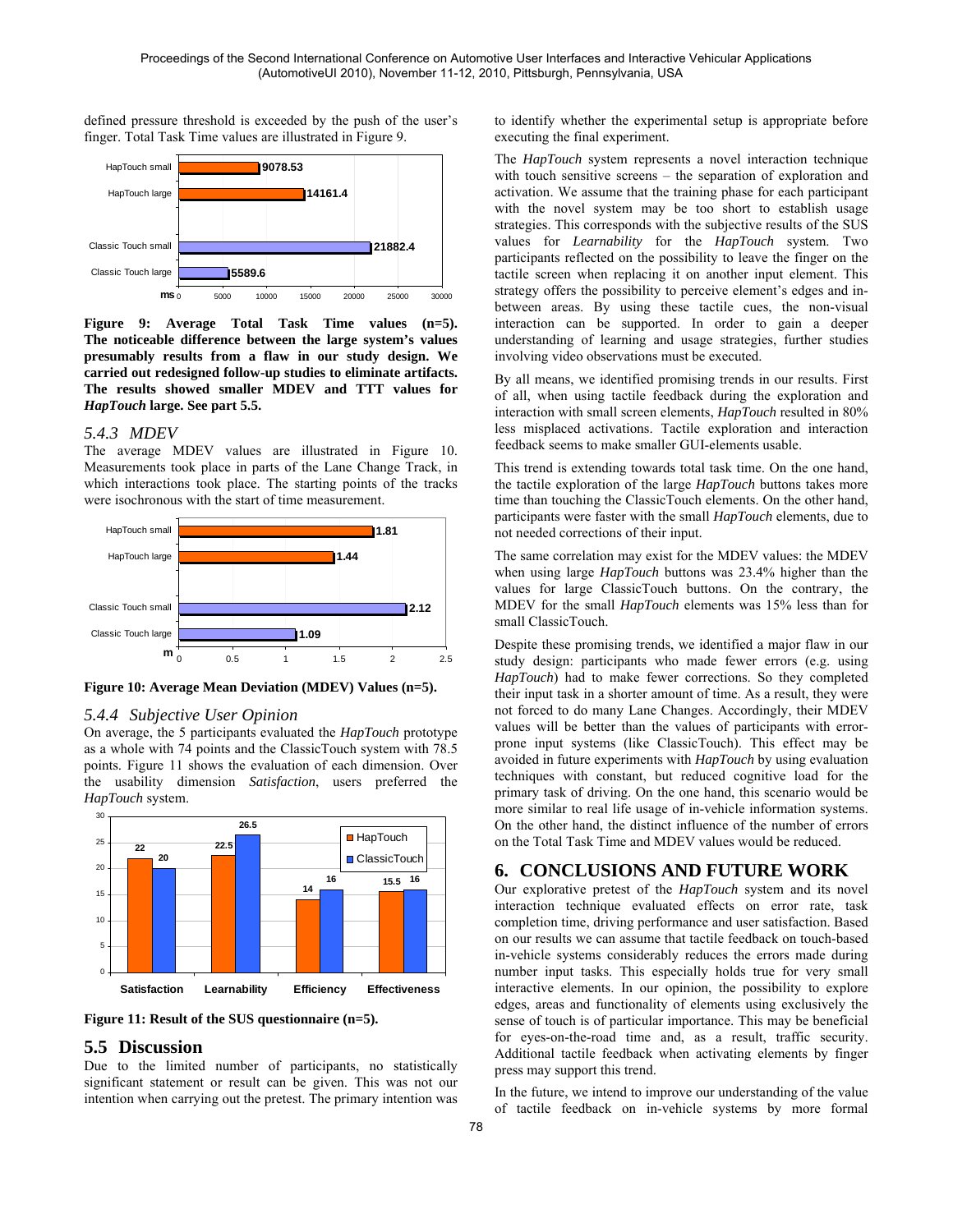defined pressure threshold is exceeded by the push of the user's finger. Total Task Time values are illustrated in Figure 9.



**Figure 9: Average Total Task Time values (n=5). The noticeable difference between the large system's values presumably results from a flaw in our study design. We carried out redesigned follow-up studies to eliminate artifacts. The results showed smaller MDEV and TTT values for**  *HapTouch* **large. See part 5.5.** 

#### *5.4.3 MDEV*

The average MDEV values are illustrated in Figure 10. Measurements took place in parts of the Lane Change Track, in which interactions took place. The starting points of the tracks were isochronous with the start of time measurement.



**Figure 10: Average Mean Deviation (MDEV) Values (n=5).** 

#### *5.4.4 Subjective User Opinion*

On average, the 5 participants evaluated the *HapTouch* prototype as a whole with 74 points and the ClassicTouch system with 78.5 points. Figure 11 shows the evaluation of each dimension. Over the usability dimension *Satisfaction*, users preferred the *HapTouch* system.



**Figure 11: Result of the SUS questionnaire (n=5).** 

#### **5.5 Discussion**

Due to the limited number of participants, no statistically significant statement or result can be given. This was not our intention when carrying out the pretest. The primary intention was to identify whether the experimental setup is appropriate before executing the final experiment.

The *HapTouch* system represents a novel interaction technique with touch sensitive screens – the separation of exploration and activation. We assume that the training phase for each participant with the novel system may be too short to establish usage strategies. This corresponds with the subjective results of the SUS values for *Learnability* for the *HapTouch* system. Two participants reflected on the possibility to leave the finger on the tactile screen when replacing it on another input element. This strategy offers the possibility to perceive element's edges and inbetween areas. By using these tactile cues, the non-visual interaction can be supported. In order to gain a deeper understanding of learning and usage strategies, further studies involving video observations must be executed.

By all means, we identified promising trends in our results. First of all, when using tactile feedback during the exploration and interaction with small screen elements, *HapTouch* resulted in 80% less misplaced activations. Tactile exploration and interaction feedback seems to make smaller GUI-elements usable.

This trend is extending towards total task time. On the one hand, the tactile exploration of the large *HapTouch* buttons takes more time than touching the ClassicTouch elements. On the other hand, participants were faster with the small *HapTouch* elements, due to not needed corrections of their input.

The same correlation may exist for the MDEV values: the MDEV when using large *HapTouch* buttons was 23.4% higher than the values for large ClassicTouch buttons. On the contrary, the MDEV for the small *HapTouch* elements was 15% less than for small ClassicTouch.

Despite these promising trends, we identified a major flaw in our study design: participants who made fewer errors (e.g. using *HapTouch*) had to make fewer corrections. So they completed their input task in a shorter amount of time. As a result, they were not forced to do many Lane Changes. Accordingly, their MDEV values will be better than the values of participants with errorprone input systems (like ClassicTouch). This effect may be avoided in future experiments with *HapTouch* by using evaluation techniques with constant, but reduced cognitive load for the primary task of driving. On the one hand, this scenario would be more similar to real life usage of in-vehicle information systems. On the other hand, the distinct influence of the number of errors on the Total Task Time and MDEV values would be reduced.

### **6. CONCLUSIONS AND FUTURE WORK**

Our explorative pretest of the *HapTouch* system and its novel interaction technique evaluated effects on error rate, task completion time, driving performance and user satisfaction. Based on our results we can assume that tactile feedback on touch-based in-vehicle systems considerably reduces the errors made during number input tasks. This especially holds true for very small interactive elements. In our opinion, the possibility to explore edges, areas and functionality of elements using exclusively the sense of touch is of particular importance. This may be beneficial for eyes-on-the-road time and, as a result, traffic security. Additional tactile feedback when activating elements by finger press may support this trend.

In the future, we intend to improve our understanding of the value of tactile feedback on in-vehicle systems by more formal